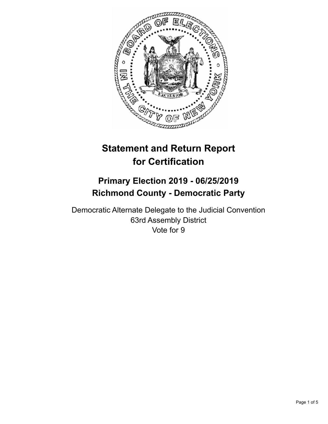

# **Statement and Return Report for Certification**

# **Primary Election 2019 - 06/25/2019 Richmond County - Democratic Party**

Democratic Alternate Delegate to the Judicial Convention 63rd Assembly District Vote for 9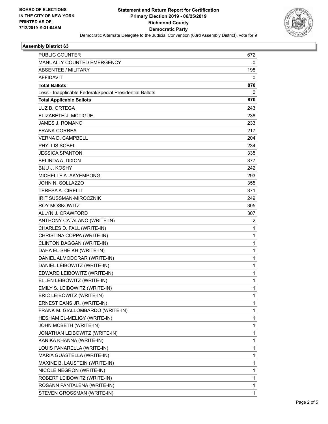

### **Assembly District 63**

| PUBLIC COUNTER                                           | 672          |
|----------------------------------------------------------|--------------|
| MANUALLY COUNTED EMERGENCY                               | 0            |
| <b>ABSENTEE / MILITARY</b>                               | 198          |
| <b>AFFIDAVIT</b>                                         | 0            |
| <b>Total Ballots</b>                                     | 870          |
| Less - Inapplicable Federal/Special Presidential Ballots | 0            |
| <b>Total Applicable Ballots</b>                          | 870          |
| LUZ B. ORTEGA                                            | 243          |
| ELIZABETH J. MCTIGUE                                     | 238          |
| JAMES J. ROMANO                                          | 233          |
| <b>FRANK CORREA</b>                                      | 217          |
| <b>VERNA D. CAMPBELL</b>                                 | 204          |
| PHYLLIS SOBEL                                            | 234          |
| <b>JESSICA SPANTON</b>                                   | 335          |
| BELINDA A. DIXON                                         | 377          |
| <b>BIJU J. KOSHY</b>                                     | 242          |
| MICHELLE A. AKYEMPONG                                    | 293          |
| JOHN N. SOLLAZZO                                         | 355          |
| <b>TERESAA. CIRELLI</b>                                  | 371          |
| IRIT SUSSMAN-MIROCZNIK                                   | 249          |
| <b>ROY MOSKOWITZ</b>                                     | 305          |
| ALLYN J. CRAWFORD                                        | 307          |
| ANTHONY CATALANO (WRITE-IN)                              | 2            |
| CHARLES D. FALL (WRITE-IN)                               | 1            |
| CHRISTINA COPPA (WRITE-IN)                               | $\mathbf 1$  |
| CLINTON DAGGAN (WRITE-IN)                                | 1            |
| DAHA EL-SHEIKH (WRITE-IN)                                | 1            |
| DANIEL ALMODORAR (WRITE-IN)                              | $\mathbf 1$  |
| DANIEL LEIBOWITZ (WRITE-IN)                              | $\mathbf{1}$ |
| EDWARD LEIBOWITZ (WRITE-IN)                              | 1            |
| ELLEN LEIBOWITZ (WRITE-IN)                               | $\mathbf 1$  |
| EMILY S. LEIBOWITZ (WRITE-IN)                            | 1            |
| ERIC LEIBOWITZ (WRITE-IN)                                | 1            |
| ERNEST EANS JR. (WRITE-IN)                               | 1            |
| FRANK M. GIALLOMBARDO (WRITE-IN)                         | 1            |
| HESHAM EL-MELIGY (WRITE-IN)                              | 1            |
| JOHN MCBETH (WRITE-IN)                                   | 1            |
| JONATHAN LEIBOWITZ (WRITE-IN)                            | 1            |
| KANIKA KHANNA (WRITE-IN)                                 | 1            |
| LOUIS PANARELLA (WRITE-IN)                               | 1            |
| MARIA GUASTELLA (WRITE-IN)                               | 1            |
| MAXINE B. LAUSTEIN (WRITE-IN)                            | 1            |
| NICOLE NEGRON (WRITE-IN)                                 | 1            |
| ROBERT LEIBOWITZ (WRITE-IN)                              | 1            |
| ROSANN PANTALENA (WRITE-IN)                              | 1            |
| STEVEN GROSSMAN (WRITE-IN)                               | 1            |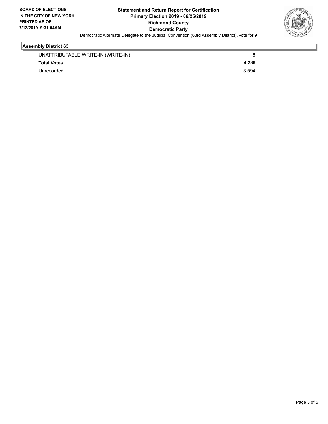

### **Assembly District 63**

| UNATTRIBUTABLE WRITE-IN (WRITE-IN) |       |
|------------------------------------|-------|
| <b>Total Votes</b>                 |       |
| Unrecorded                         | 3.594 |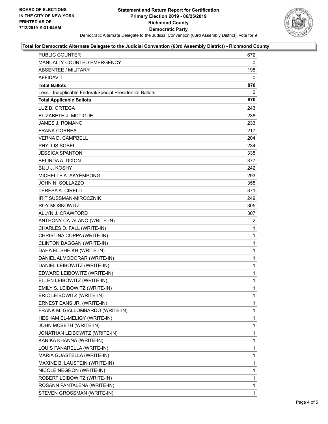

#### **Total for Democratic Alternate Delegate to the Judicial Convention (63rd Assembly District) - Richmond County**

| PUBLIC COUNTER                                           | 672          |
|----------------------------------------------------------|--------------|
| MANUALLY COUNTED EMERGENCY                               | 0            |
| <b>ABSENTEE / MILITARY</b>                               | 198          |
| <b>AFFIDAVIT</b>                                         | 0            |
| <b>Total Ballots</b>                                     | 870          |
| Less - Inapplicable Federal/Special Presidential Ballots | 0            |
| <b>Total Applicable Ballots</b>                          | 870          |
| LUZ B. ORTEGA                                            | 243          |
| ELIZABETH J. MCTIGUE                                     | 238          |
| <b>JAMES J. ROMANO</b>                                   | 233          |
| <b>FRANK CORREA</b>                                      | 217          |
| VERNA D. CAMPBELL                                        | 204          |
| PHYLLIS SOBEL                                            | 234          |
| <b>JESSICA SPANTON</b>                                   | 335          |
| <b>BELINDA A. DIXON</b>                                  | 377          |
| <b>BIJU J. KOSHY</b>                                     | 242          |
| MICHELLE A. AKYEMPONG                                    | 293          |
| JOHN N. SOLLAZZO                                         | 355          |
| <b>TERESA A. CIRELLI</b>                                 | 371          |
| <b>IRIT SUSSMAN-MIROCZNIK</b>                            | 249          |
| ROY MOSKOWITZ                                            | 305          |
| ALLYN J. CRAWFORD                                        | 307          |
| ANTHONY CATALANO (WRITE-IN)                              | 2            |
| CHARLES D. FALL (WRITE-IN)                               | 1            |
| CHRISTINA COPPA (WRITE-IN)                               | 1            |
| CLINTON DAGGAN (WRITE-IN)                                | $\mathbf{1}$ |
| DAHA EL-SHEIKH (WRITE-IN)                                | $\mathbf{1}$ |
| DANIEL ALMODORAR (WRITE-IN)                              | $\mathbf{1}$ |
| DANIEL LEIBOWITZ (WRITE-IN)                              | $\mathbf{1}$ |
| EDWARD LEIBOWITZ (WRITE-IN)                              | $\mathbf{1}$ |
| ELLEN LEIBOWITZ (WRITE-IN)                               | 1            |
| EMILY S. LEIBOWITZ (WRITE-IN)                            | 1            |
| ERIC LEIBOWITZ (WRITE-IN)                                | $\mathbf 1$  |
| ERNEST EANS JR. (WRITE-IN)                               | 1            |
| FRANK M. GIALLOMBARDO (WRITE-IN)                         | 1            |
| HESHAM EL-MELIGY (WRITE-IN)                              | 1            |
| JOHN MCBETH (WRITE-IN)                                   | 1            |
| JONATHAN LEIBOWITZ (WRITE-IN)                            | 1            |
| KANIKA KHANNA (WRITE-IN)                                 | $\mathbf 1$  |
| LOUIS PANARELLA (WRITE-IN)                               | 1            |
| MARIA GUASTELLA (WRITE-IN)                               | 1            |
| MAXINE B. LAUSTEIN (WRITE-IN)                            | 1            |
| NICOLE NEGRON (WRITE-IN)                                 | 1            |
| ROBERT LEIBOWITZ (WRITE-IN)                              | 1            |
| ROSANN PANTALENA (WRITE-IN)                              | $\mathbf{1}$ |
| STEVEN GROSSMAN (WRITE-IN)                               | 1            |